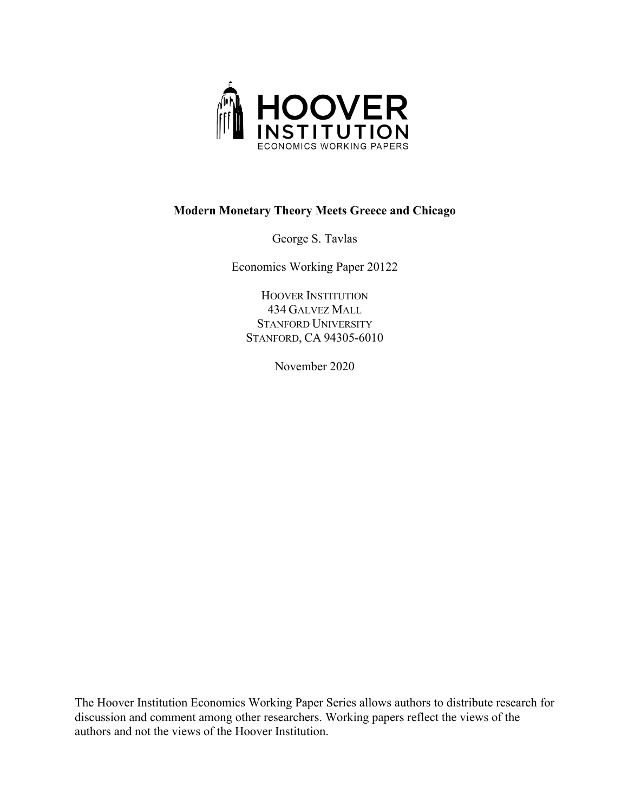

# **Modern Monetary Theory Meets Greece and Chicago**

George S. Tavlas

Economics Working Paper 20122

HOOVER INSTITUTION 434 GALVEZ MALL STANFORD UNIVERSITY STANFORD, CA 94305-6010

November 2020

The Hoover Institution Economics Working Paper Series allows authors to distribute research for discussion and comment among other researchers. Working papers reflect the views of the authors and not the views of the Hoover Institution.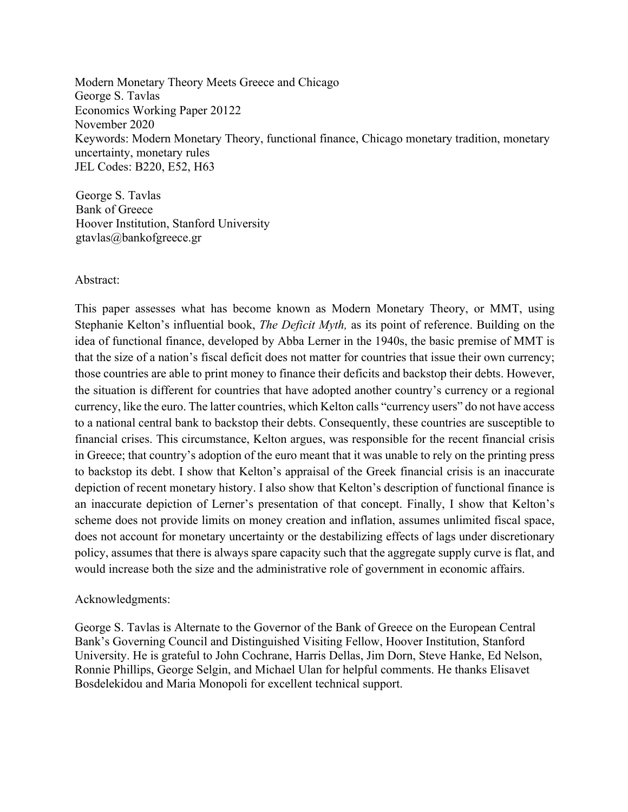Modern Monetary Theory Meets Greece and Chicago George S. Tavlas Economics Working Paper 20122 November 2020 Keywords: Modern Monetary Theory, functional finance, Chicago monetary tradition, monetary uncertainty, monetary rules JEL Codes: B220, E52, H63

George S. Tavlas Bank of Greece Hoover Institution, Stanford University gtavlas@bankofgreece.gr

#### Abstract:

This paper assesses what has become known as Modern Monetary Theory, or MMT, using Stephanie Kelton's influential book, *The Deficit Myth,* as its point of reference. Building on the idea of functional finance, developed by Abba Lerner in the 1940s, the basic premise of MMT is that the size of a nation's fiscal deficit does not matter for countries that issue their own currency; those countries are able to print money to finance their deficits and backstop their debts. However, the situation is different for countries that have adopted another country's currency or a regional currency, like the euro. The latter countries, which Kelton calls "currency users" do not have access to a national central bank to backstop their debts. Consequently, these countries are susceptible to financial crises. This circumstance, Kelton argues, was responsible for the recent financial crisis in Greece; that country's adoption of the euro meant that it was unable to rely on the printing press to backstop its debt. I show that Kelton's appraisal of the Greek financial crisis is an inaccurate depiction of recent monetary history. I also show that Kelton's description of functional finance is an inaccurate depiction of Lerner's presentation of that concept. Finally, I show that Kelton's scheme does not provide limits on money creation and inflation, assumes unlimited fiscal space, does not account for monetary uncertainty or the destabilizing effects of lags under discretionary policy, assumes that there is always spare capacity such that the aggregate supply curve is flat, and would increase both the size and the administrative role of government in economic affairs.

#### Acknowledgments:

George S. Tavlas is Alternate to the Governor of the Bank of Greece on the European Central Bank's Governing Council and Distinguished Visiting Fellow, Hoover Institution, Stanford University. He is grateful to John Cochrane, Harris Dellas, Jim Dorn, Steve Hanke, Ed Nelson, Ronnie Phillips, George Selgin, and Michael Ulan for helpful comments. He thanks Elisavet Bosdelekidou and Maria Monopoli for excellent technical support.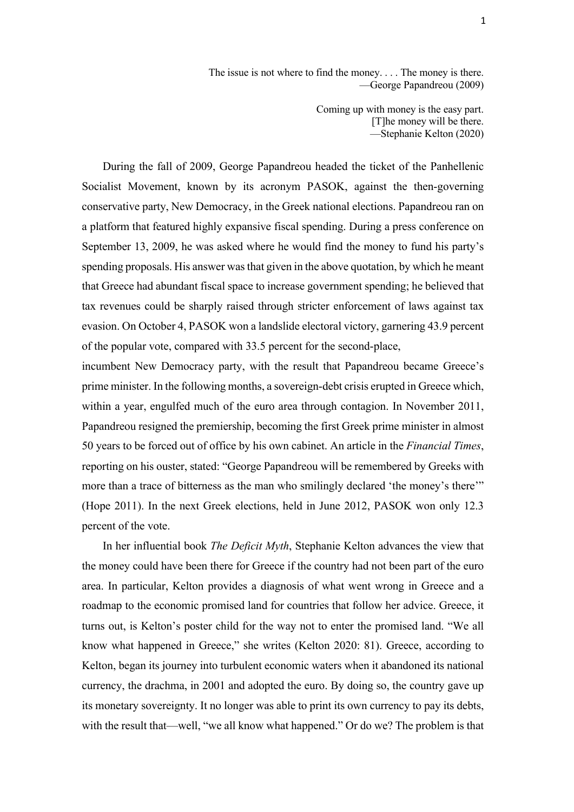The issue is not where to find the money. . . . The money is there. —George Papandreou (2009)

> Coming up with money is the easy part. [T]he money will be there. —Stephanie Kelton (2020)

During the fall of 2009, George Papandreou headed the ticket of the Panhellenic Socialist Movement, known by its acronym PASOK, against the then-governing conservative party, New Democracy, in the Greek national elections. Papandreou ran on a platform that featured highly expansive fiscal spending. During a press conference on September 13, 2009, he was asked where he would find the money to fund his party's spending proposals. His answer wasthat given in the above quotation, by which he meant that Greece had abundant fiscal space to increase government spending; he believed that tax revenues could be sharply raised through stricter enforcement of laws against tax evasion. On October 4, PASOK won a landslide electoral victory, garnering 43.9 percent of the popular vote, compared with 33.5 percent for the second-place,

incumbent New Democracy party, with the result that Papandreou became Greece's prime minister. In the following months, a sovereign-debt crisis erupted in Greece which, within a year, engulfed much of the euro area through contagion. In November 2011, Papandreou resigned the premiership, becoming the first Greek prime minister in almost 50 years to be forced out of office by his own cabinet. An article in the *Financial Times*, reporting on his ouster, stated: "George Papandreou will be remembered by Greeks with more than a trace of bitterness as the man who smilingly declared 'the money's there'" (Hope 2011). In the next Greek elections, held in June 2012, PASOK won only 12.3 percent of the vote.

In her influential book *The Deficit Myth*, Stephanie Kelton advances the view that the money could have been there for Greece if the country had not been part of the euro area. In particular, Kelton provides a diagnosis of what went wrong in Greece and a roadmap to the economic promised land for countries that follow her advice. Greece, it turns out, is Kelton's poster child for the way not to enter the promised land. "We all know what happened in Greece," she writes (Kelton 2020: 81). Greece, according to Kelton, began its journey into turbulent economic waters when it abandoned its national currency, the drachma, in 2001 and adopted the euro. By doing so, the country gave up its monetary sovereignty. It no longer was able to print its own currency to pay its debts, with the result that—well, "we all know what happened." Or do we? The problem is that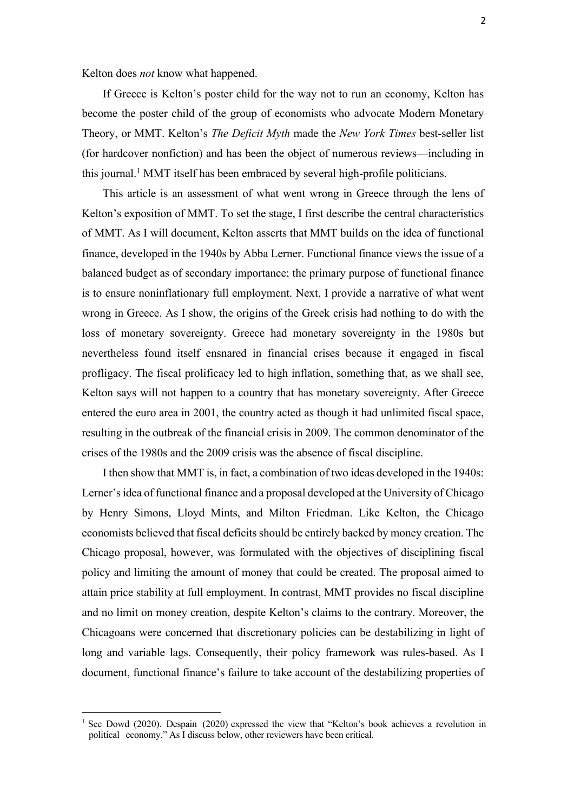Kelton does *not* know what happened.

If Greece is Kelton's poster child for the way not to run an economy, Kelton has become the poster child of the group of economists who advocate Modern Monetary Theory, or MMT. Kelton's *The Deficit Myth* made the *New York Times* best-seller list (for hardcover nonfiction) and has been the object of numerous reviews—including in this journal.1 MMT itself has been embraced by several high-profile politicians.

This article is an assessment of what went wrong in Greece through the lens of Kelton's exposition of MMT. To set the stage, I first describe the central characteristics of MMT. As I will document, Kelton asserts that MMT builds on the idea of functional finance, developed in the 1940s by Abba Lerner. Functional finance views the issue of a balanced budget as of secondary importance; the primary purpose of functional finance is to ensure noninflationary full employment. Next, I provide a narrative of what went wrong in Greece. As I show, the origins of the Greek crisis had nothing to do with the loss of monetary sovereignty. Greece had monetary sovereignty in the 1980s but nevertheless found itself ensnared in financial crises because it engaged in fiscal profligacy. The fiscal prolificacy led to high inflation, something that, as we shall see, Kelton says will not happen to a country that has monetary sovereignty. After Greece entered the euro area in 2001, the country acted as though it had unlimited fiscal space, resulting in the outbreak of the financial crisis in 2009. The common denominator of the crises of the 1980s and the 2009 crisis was the absence of fiscal discipline.

I then show that MMT is, in fact, a combination of two ideas developed in the 1940s: Lerner's idea of functional finance and a proposal developed at the University of Chicago by Henry Simons, Lloyd Mints, and Milton Friedman. Like Kelton, the Chicago economists believed that fiscal deficits should be entirely backed by money creation. The Chicago proposal, however, was formulated with the objectives of disciplining fiscal policy and limiting the amount of money that could be created. The proposal aimed to attain price stability at full employment. In contrast, MMT provides no fiscal discipline and no limit on money creation, despite Kelton's claims to the contrary. Moreover, the Chicagoans were concerned that discretionary policies can be destabilizing in light of long and variable lags. Consequently, their policy framework was rules-based. As I document, functional finance's failure to take account of the destabilizing properties of

<sup>1</sup> See Dowd (2020). Despain (2020) expressed the view that "Kelton's book achieves a revolution in political economy." As I discuss below, other reviewers have been critical.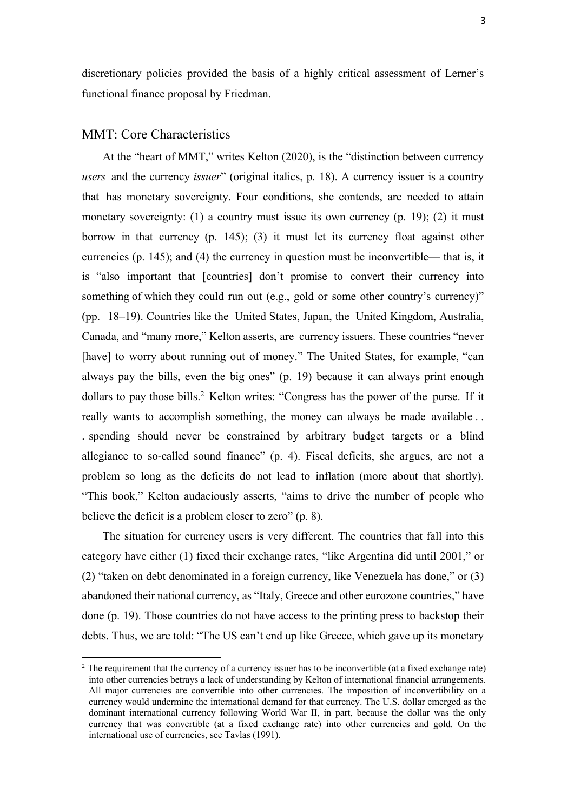discretionary policies provided the basis of a highly critical assessment of Lerner's functional finance proposal by Friedman.

## MMT: Core Characteristics

At the "heart of MMT," writes Kelton (2020), is the "distinction between currency *users* and the currency *issuer*" (original italics, p. 18). A currency issuer is a country that has monetary sovereignty. Four conditions, she contends, are needed to attain monetary sovereignty: (1) a country must issue its own currency  $(p. 19)$ ; (2) it must borrow in that currency (p. 145); (3) it must let its currency float against other currencies (p. 145); and (4) the currency in question must be inconvertible— that is, it is "also important that [countries] don't promise to convert their currency into something of which they could run out (e.g., gold or some other country's currency)" (pp. 18–19). Countries like the United States, Japan, the United Kingdom, Australia, Canada, and "many more," Kelton asserts, are currency issuers. These countries "never [have] to worry about running out of money." The United States, for example, "can always pay the bills, even the big ones" (p. 19) because it can always print enough dollars to pay those bills.<sup>2</sup> Kelton writes: "Congress has the power of the purse. If it really wants to accomplish something, the money can always be made available . . . spending should never be constrained by arbitrary budget targets or a blind allegiance to so-called sound finance" (p. 4). Fiscal deficits, she argues, are not a problem so long as the deficits do not lead to inflation (more about that shortly). "This book," Kelton audaciously asserts, "aims to drive the number of people who believe the deficit is a problem closer to zero" (p. 8).

The situation for currency users is very different. The countries that fall into this category have either (1) fixed their exchange rates, "like Argentina did until 2001," or (2) "taken on debt denominated in a foreign currency, like Venezuela has done," or (3) abandoned their national currency, as "Italy, Greece and other eurozone countries," have done (p. 19). Those countries do not have access to the printing press to backstop their debts. Thus, we are told: "The US can't end up like Greece, which gave up its monetary

<sup>&</sup>lt;sup>2</sup> The requirement that the currency of a currency issuer has to be inconvertible (at a fixed exchange rate) into other currencies betrays a lack of understanding by Kelton of international financial arrangements. All major currencies are convertible into other currencies. The imposition of inconvertibility on a currency would undermine the international demand for that currency. The U.S. dollar emerged as the dominant international currency following World War II, in part, because the dollar was the only currency that was convertible (at a fixed exchange rate) into other currencies and gold. On the international use of currencies, see Tavlas (1991).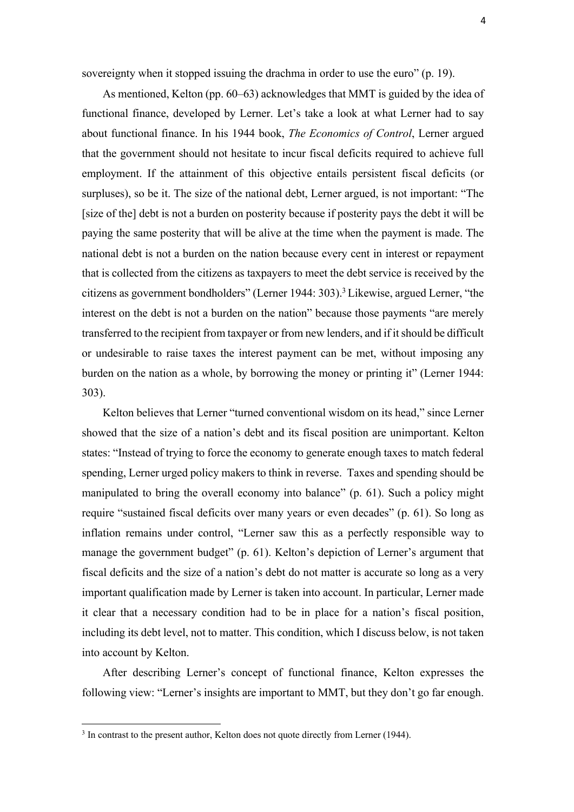sovereignty when it stopped issuing the drachma in order to use the euro" (p. 19).

As mentioned, Kelton (pp. 60–63) acknowledges that MMT is guided by the idea of functional finance, developed by Lerner. Let's take a look at what Lerner had to say about functional finance. In his 1944 book, *The Economics of Control*, Lerner argued that the government should not hesitate to incur fiscal deficits required to achieve full employment. If the attainment of this objective entails persistent fiscal deficits (or surpluses), so be it. The size of the national debt, Lerner argued, is not important: "The [size of the] debt is not a burden on posterity because if posterity pays the debt it will be paying the same posterity that will be alive at the time when the payment is made. The national debt is not a burden on the nation because every cent in interest or repayment that is collected from the citizens as taxpayers to meet the debt service is received by the citizens as government bondholders" (Lerner 1944: 303).3 Likewise, argued Lerner, "the interest on the debt is not a burden on the nation" because those payments "are merely transferred to the recipient from taxpayer or from new lenders, and if it should be difficult or undesirable to raise taxes the interest payment can be met, without imposing any burden on the nation as a whole, by borrowing the money or printing it" (Lerner 1944: 303).

Kelton believes that Lerner "turned conventional wisdom on its head," since Lerner showed that the size of a nation's debt and its fiscal position are unimportant. Kelton states: "Instead of trying to force the economy to generate enough taxes to match federal spending, Lerner urged policy makers to think in reverse. Taxes and spending should be manipulated to bring the overall economy into balance" (p. 61). Such a policy might require "sustained fiscal deficits over many years or even decades" (p. 61). So long as inflation remains under control, "Lerner saw this as a perfectly responsible way to manage the government budget" (p. 61). Kelton's depiction of Lerner's argument that fiscal deficits and the size of a nation's debt do not matter is accurate so long as a very important qualification made by Lerner is taken into account. In particular, Lerner made it clear that a necessary condition had to be in place for a nation's fiscal position, including its debt level, not to matter. This condition, which I discuss below, is not taken into account by Kelton.

After describing Lerner's concept of functional finance, Kelton expresses the following view: "Lerner's insights are important to MMT, but they don't go far enough.

<sup>&</sup>lt;sup>3</sup> In contrast to the present author, Kelton does not quote directly from Lerner (1944).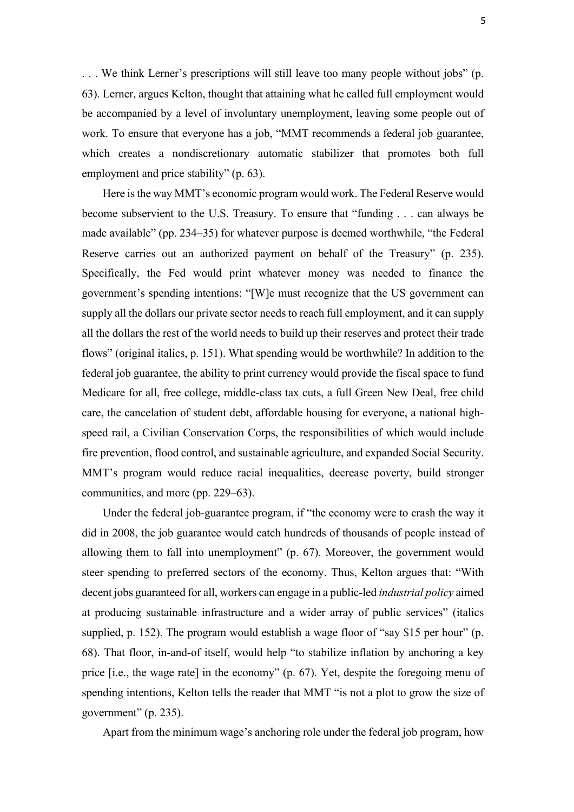. . . We think Lerner's prescriptions will still leave too many people without jobs" (p. 63). Lerner, argues Kelton, thought that attaining what he called full employment would be accompanied by a level of involuntary unemployment, leaving some people out of work. To ensure that everyone has a job, "MMT recommends a federal job guarantee, which creates a nondiscretionary automatic stabilizer that promotes both full employment and price stability" (p. 63).

Here is the way MMT's economic program would work. The Federal Reserve would become subservient to the U.S. Treasury. To ensure that "funding . . . can always be made available" (pp. 234–35) for whatever purpose is deemed worthwhile, "the Federal Reserve carries out an authorized payment on behalf of the Treasury" (p. 235). Specifically, the Fed would print whatever money was needed to finance the government's spending intentions: "[W]e must recognize that the US government can supply all the dollars our private sector needs to reach full employment, and it can supply all the dollars the rest of the world needs to build up their reserves and protect their trade flows" (original italics, p. 151). What spending would be worthwhile? In addition to the federal job guarantee, the ability to print currency would provide the fiscal space to fund Medicare for all, free college, middle-class tax cuts, a full Green New Deal, free child care, the cancelation of student debt, affordable housing for everyone, a national highspeed rail, a Civilian Conservation Corps, the responsibilities of which would include fire prevention, flood control, and sustainable agriculture, and expanded Social Security. MMT's program would reduce racial inequalities, decrease poverty, build stronger communities, and more (pp. 229–63).

Under the federal job-guarantee program, if "the economy were to crash the way it did in 2008, the job guarantee would catch hundreds of thousands of people instead of allowing them to fall into unemployment" (p. 67). Moreover, the government would steer spending to preferred sectors of the economy. Thus, Kelton argues that: "With decent jobs guaranteed for all, workers can engage in a public-led *industrial policy* aimed at producing sustainable infrastructure and a wider array of public services" (italics supplied, p. 152). The program would establish a wage floor of "say \$15 per hour" (p. 68). That floor, in-and-of itself, would help "to stabilize inflation by anchoring a key price [i.e., the wage rate] in the economy" (p. 67). Yet, despite the foregoing menu of spending intentions, Kelton tells the reader that MMT "is not a plot to grow the size of government" (p. 235).

Apart from the minimum wage's anchoring role under the federal job program, how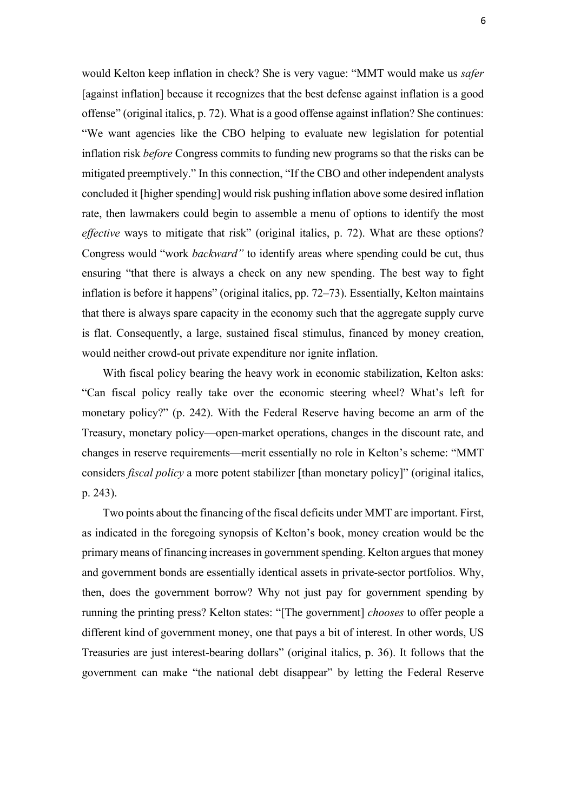would Kelton keep inflation in check? She is very vague: "MMT would make us *safer* [against inflation] because it recognizes that the best defense against inflation is a good offense" (original italics, p. 72). What is a good offense against inflation? She continues: "We want agencies like the CBO helping to evaluate new legislation for potential inflation risk *before* Congress commits to funding new programs so that the risks can be mitigated preemptively." In this connection, "If the CBO and other independent analysts concluded it [higher spending] would risk pushing inflation above some desired inflation rate, then lawmakers could begin to assemble a menu of options to identify the most *effective* ways to mitigate that risk" (original italics, p. 72). What are these options? Congress would "work *backward"* to identify areas where spending could be cut, thus ensuring "that there is always a check on any new spending. The best way to fight inflation is before it happens" (original italics, pp. 72–73). Essentially, Kelton maintains that there is always spare capacity in the economy such that the aggregate supply curve is flat. Consequently, a large, sustained fiscal stimulus, financed by money creation, would neither crowd-out private expenditure nor ignite inflation.

With fiscal policy bearing the heavy work in economic stabilization, Kelton asks: "Can fiscal policy really take over the economic steering wheel? What's left for monetary policy?" (p. 242). With the Federal Reserve having become an arm of the Treasury, monetary policy—open-market operations, changes in the discount rate, and changes in reserve requirements—merit essentially no role in Kelton's scheme: "MMT considers *fiscal policy* a more potent stabilizer [than monetary policy]" (original italics, p. 243).

Two points about the financing of the fiscal deficits under MMT are important. First, as indicated in the foregoing synopsis of Kelton's book, money creation would be the primary means of financing increases in government spending. Kelton argues that money and government bonds are essentially identical assets in private-sector portfolios. Why, then, does the government borrow? Why not just pay for government spending by running the printing press? Kelton states: "[The government] *chooses* to offer people a different kind of government money, one that pays a bit of interest. In other words, US Treasuries are just interest-bearing dollars" (original italics, p. 36). It follows that the government can make "the national debt disappear" by letting the Federal Reserve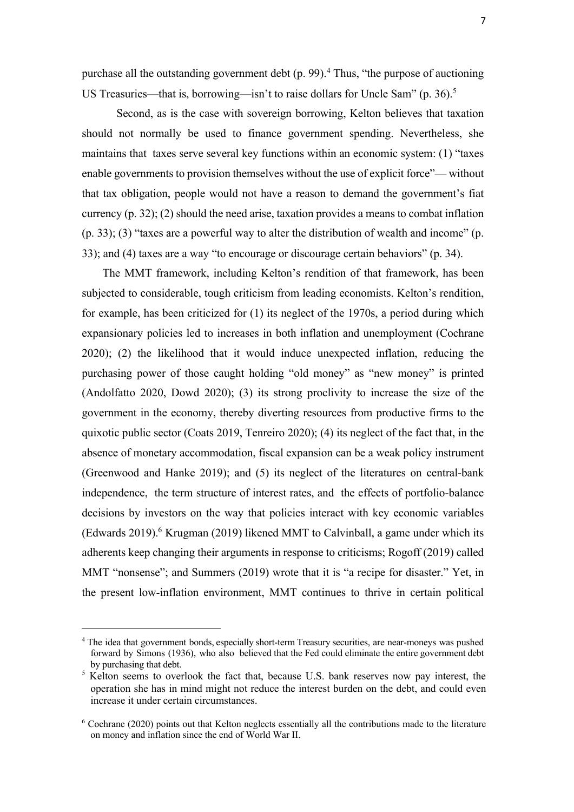purchase all the outstanding government debt  $(p. 99)$ .<sup>4</sup> Thus, "the purpose of auctioning US Treasuries—that is, borrowing—isn't to raise dollars for Uncle Sam" (p. 36).<sup>5</sup>

Second, as is the case with sovereign borrowing, Kelton believes that taxation should not normally be used to finance government spending. Nevertheless, she maintains that taxes serve several key functions within an economic system: (1) "taxes enable governments to provision themselves without the use of explicit force"— without that tax obligation, people would not have a reason to demand the government's fiat currency (p. 32); (2) should the need arise, taxation provides a means to combat inflation (p. 33); (3) "taxes are a powerful way to alter the distribution of wealth and income" (p. 33); and (4) taxes are a way "to encourage or discourage certain behaviors" (p. 34).

The MMT framework, including Kelton's rendition of that framework, has been subjected to considerable, tough criticism from leading economists. Kelton's rendition, for example, has been criticized for (1) its neglect of the 1970s, a period during which expansionary policies led to increases in both inflation and unemployment (Cochrane 2020); (2) the likelihood that it would induce unexpected inflation, reducing the purchasing power of those caught holding "old money" as "new money" is printed (Andolfatto 2020, Dowd 2020); (3) its strong proclivity to increase the size of the government in the economy, thereby diverting resources from productive firms to the quixotic public sector (Coats 2019, Tenreiro 2020); (4) its neglect of the fact that, in the absence of monetary accommodation, fiscal expansion can be a weak policy instrument (Greenwood and Hanke 2019); and (5) its neglect of the literatures on central-bank independence, the term structure of interest rates, and the effects of portfolio-balance decisions by investors on the way that policies interact with key economic variables (Edwards 2019). <sup>6</sup> Krugman (2019) likened MMT to Calvinball, a game under which its adherents keep changing their arguments in response to criticisms; Rogoff (2019) called MMT "nonsense"; and Summers (2019) wrote that it is "a recipe for disaster." Yet, in the present low-inflation environment, MMT continues to thrive in certain political

<sup>&</sup>lt;sup>4</sup> The idea that government bonds, especially short-term Treasury securities, are near-moneys was pushed forward by Simons (1936), who also believed that the Fed could eliminate the entire government debt by purchasing that debt.

<sup>&</sup>lt;sup>5</sup> Kelton seems to overlook the fact that, because U.S. bank reserves now pay interest, the operation she has in mind might not reduce the interest burden on the debt, and could even increase it under certain circumstances.

<sup>6</sup> Cochrane (2020) points out that Kelton neglects essentially all the contributions made to the literature on money and inflation since the end of World War II.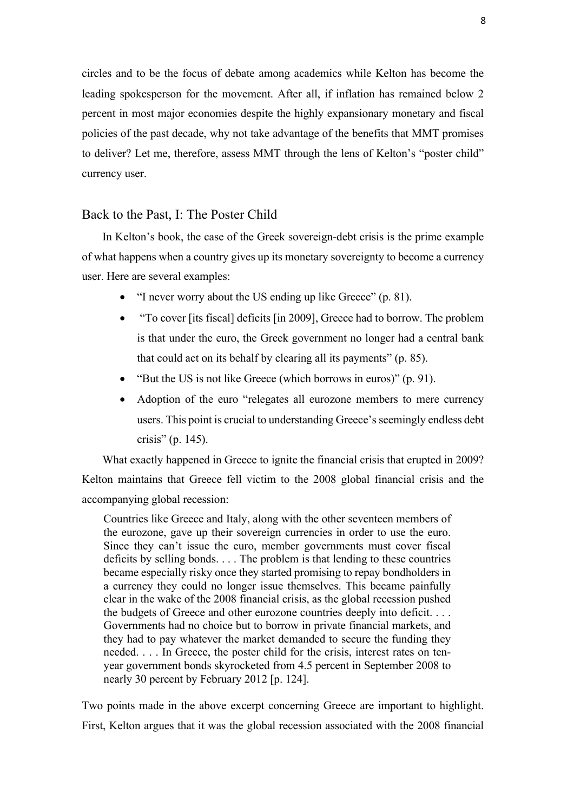circles and to be the focus of debate among academics while Kelton has become the leading spokesperson for the movement. After all, if inflation has remained below 2 percent in most major economies despite the highly expansionary monetary and fiscal policies of the past decade, why not take advantage of the benefits that MMT promises to deliver? Let me, therefore, assess MMT through the lens of Kelton's "poster child" currency user.

### Back to the Past, I: The Poster Child

In Kelton's book, the case of the Greek sovereign-debt crisis is the prime example of what happens when a country gives up its monetary sovereignty to become a currency user. Here are several examples:

- "I never worry about the US ending up like Greece" (p. 81).
- "To cover [its fiscal] deficits [in 2009], Greece had to borrow. The problem is that under the euro, the Greek government no longer had a central bank that could act on its behalf by clearing all its payments" (p. 85).
- "But the US is not like Greece (which borrows in euros)" (p. 91).
- Adoption of the euro "relegates all eurozone members to mere currency users. This point is crucial to understanding Greece's seemingly endless debt crisis" (p. 145).

What exactly happened in Greece to ignite the financial crisis that erupted in 2009? Kelton maintains that Greece fell victim to the 2008 global financial crisis and the accompanying global recession:

Countries like Greece and Italy, along with the other seventeen members of the eurozone, gave up their sovereign currencies in order to use the euro. Since they can't issue the euro, member governments must cover fiscal deficits by selling bonds. . . . The problem is that lending to these countries became especially risky once they started promising to repay bondholders in a currency they could no longer issue themselves. This became painfully clear in the wake of the 2008 financial crisis, as the global recession pushed the budgets of Greece and other eurozone countries deeply into deficit. . . . Governments had no choice but to borrow in private financial markets, and they had to pay whatever the market demanded to secure the funding they needed. . . . In Greece, the poster child for the crisis, interest rates on tenyear government bonds skyrocketed from 4.5 percent in September 2008 to nearly 30 percent by February 2012 [p. 124].

Two points made in the above excerpt concerning Greece are important to highlight. First, Kelton argues that it was the global recession associated with the 2008 financial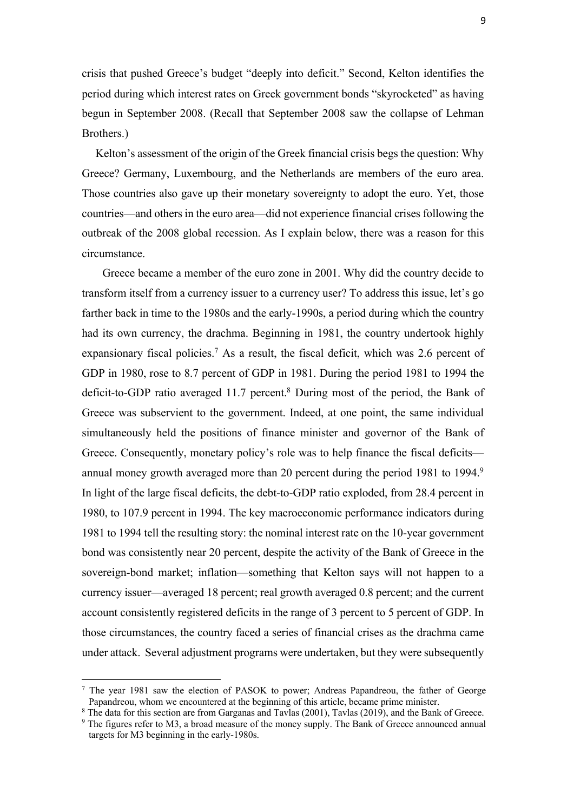crisis that pushed Greece's budget "deeply into deficit." Second, Kelton identifies the period during which interest rates on Greek government bonds "skyrocketed" as having begun in September 2008. (Recall that September 2008 saw the collapse of Lehman Brothers.)

Kelton's assessment of the origin of the Greek financial crisis begs the question: Why Greece? Germany, Luxembourg, and the Netherlands are members of the euro area. Those countries also gave up their monetary sovereignty to adopt the euro. Yet, those countries—and others in the euro area—did not experience financial crises following the outbreak of the 2008 global recession. As I explain below, there was a reason for this circumstance.

Greece became a member of the euro zone in 2001. Why did the country decide to transform itself from a currency issuer to a currency user? To address this issue, let's go farther back in time to the 1980s and the early-1990s, a period during which the country had its own currency, the drachma. Beginning in 1981, the country undertook highly expansionary fiscal policies.<sup>7</sup> As a result, the fiscal deficit, which was 2.6 percent of GDP in 1980, rose to 8.7 percent of GDP in 1981. During the period 1981 to 1994 the deficit-to-GDP ratio averaged 11.7 percent.8 During most of the period, the Bank of Greece was subservient to the government. Indeed, at one point, the same individual simultaneously held the positions of finance minister and governor of the Bank of Greece. Consequently, monetary policy's role was to help finance the fiscal deficits annual money growth averaged more than 20 percent during the period 1981 to 1994.<sup>9</sup> In light of the large fiscal deficits, the debt-to-GDP ratio exploded, from 28.4 percent in 1980, to 107.9 percent in 1994. The key macroeconomic performance indicators during 1981 to 1994 tell the resulting story: the nominal interest rate on the 10-year government bond was consistently near 20 percent, despite the activity of the Bank of Greece in the sovereign-bond market; inflation—something that Kelton says will not happen to a currency issuer—averaged 18 percent; real growth averaged 0.8 percent; and the current account consistently registered deficits in the range of 3 percent to 5 percent of GDP. In those circumstances, the country faced a series of financial crises as the drachma came under attack. Several adjustment programs were undertaken, but they were subsequently

 $^7$  The year 1981 saw the election of PASOK to power; Andreas Papandreou, the father of George Papandreou, whom we encountered at the beginning of this article, became prime minister.

 $8$  The data for this section are from Garganas and Tavlas (2001), Tavlas (2019), and the Bank of Greece.

<sup>9</sup> The figures refer to M3, a broad measure of the money supply. The Bank of Greece announced annual targets for M3 beginning in the early-1980s.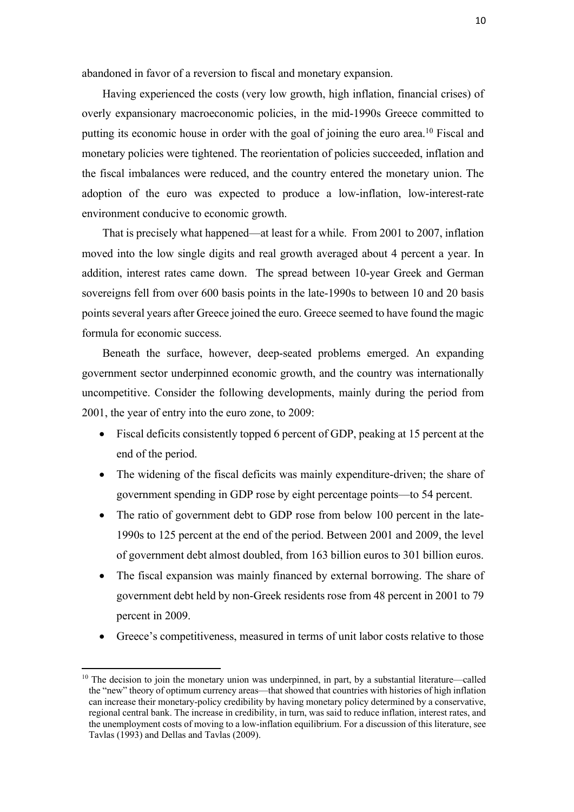abandoned in favor of a reversion to fiscal and monetary expansion.

Having experienced the costs (very low growth, high inflation, financial crises) of overly expansionary macroeconomic policies, in the mid-1990s Greece committed to putting its economic house in order with the goal of joining the euro area.10 Fiscal and monetary policies were tightened. The reorientation of policies succeeded, inflation and the fiscal imbalances were reduced, and the country entered the monetary union. The adoption of the euro was expected to produce a low-inflation, low-interest-rate environment conducive to economic growth.

That is precisely what happened—at least for a while. From 2001 to 2007, inflation moved into the low single digits and real growth averaged about 4 percent a year. In addition, interest rates came down. The spread between 10-year Greek and German sovereigns fell from over 600 basis points in the late-1990s to between 10 and 20 basis points several years after Greece joined the euro. Greece seemed to have found the magic formula for economic success.

Beneath the surface, however, deep-seated problems emerged. An expanding government sector underpinned economic growth, and the country was internationally uncompetitive. Consider the following developments, mainly during the period from 2001, the year of entry into the euro zone, to 2009:

- Fiscal deficits consistently topped 6 percent of GDP, peaking at 15 percent at the end of the period.
- The widening of the fiscal deficits was mainly expenditure-driven; the share of government spending in GDP rose by eight percentage points—to 54 percent.
- The ratio of government debt to GDP rose from below 100 percent in the late-1990s to 125 percent at the end of the period. Between 2001 and 2009, the level of government debt almost doubled, from 163 billion euros to 301 billion euros.
- The fiscal expansion was mainly financed by external borrowing. The share of government debt held by non-Greek residents rose from 48 percent in 2001 to 79 percent in 2009.
- Greece's competitiveness, measured in terms of unit labor costs relative to those

 $10$  The decision to join the monetary union was underpinned, in part, by a substantial literature—called the "new" theory of optimum currency areas—that showed that countries with histories of high inflation can increase their monetary-policy credibility by having monetary policy determined by a conservative, regional central bank. The increase in credibility, in turn, was said to reduce inflation, interest rates, and the unemployment costs of moving to a low-inflation equilibrium. For a discussion of this literature, see Tavlas (1993) and Dellas and Tavlas (2009).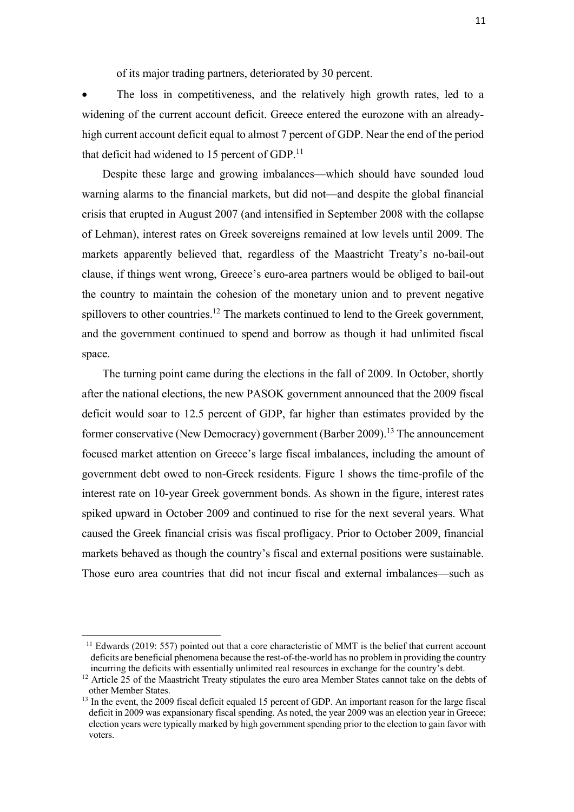of its major trading partners, deteriorated by 30 percent.

• The loss in competitiveness, and the relatively high growth rates, led to a widening of the current account deficit. Greece entered the eurozone with an alreadyhigh current account deficit equal to almost 7 percent of GDP. Near the end of the period that deficit had widened to  $15$  percent of GDP.<sup>11</sup>

Despite these large and growing imbalances—which should have sounded loud warning alarms to the financial markets, but did not—and despite the global financial crisis that erupted in August 2007 (and intensified in September 2008 with the collapse of Lehman), interest rates on Greek sovereigns remained at low levels until 2009. The markets apparently believed that, regardless of the Maastricht Treaty's no-bail-out clause, if things went wrong, Greece's euro-area partners would be obliged to bail-out the country to maintain the cohesion of the monetary union and to prevent negative spillovers to other countries.<sup>12</sup> The markets continued to lend to the Greek government, and the government continued to spend and borrow as though it had unlimited fiscal space.

The turning point came during the elections in the fall of 2009. In October, shortly after the national elections, the new PASOK government announced that the 2009 fiscal deficit would soar to 12.5 percent of GDP, far higher than estimates provided by the former conservative (New Democracy) government (Barber 2009).<sup>13</sup> The announcement focused market attention on Greece's large fiscal imbalances, including the amount of government debt owed to non-Greek residents. Figure 1 shows the time-profile of the interest rate on 10-year Greek government bonds. As shown in the figure, interest rates spiked upward in October 2009 and continued to rise for the next several years. What caused the Greek financial crisis was fiscal profligacy. Prior to October 2009, financial markets behaved as though the country's fiscal and external positions were sustainable. Those euro area countries that did not incur fiscal and external imbalances—such as

 $11$  Edwards (2019: 557) pointed out that a core characteristic of MMT is the belief that current account deficits are beneficial phenomena because the rest-of-the-world has no problem in providing the country

incurring the deficits with essentially unlimited real resources in exchange for the country's debt.<br><sup>12</sup> Article 25 of the Maastricht Treaty stipulates the euro area Member States cannot take on the debts of other Member States. 13 In the event, the 2009 fiscal deficit equaled 15 percent of GDP. An important reason for the large fiscal

deficit in 2009 was expansionary fiscal spending. As noted, the year 2009 was an election year in Greece; election years were typically marked by high government spending prior to the election to gain favor with voters.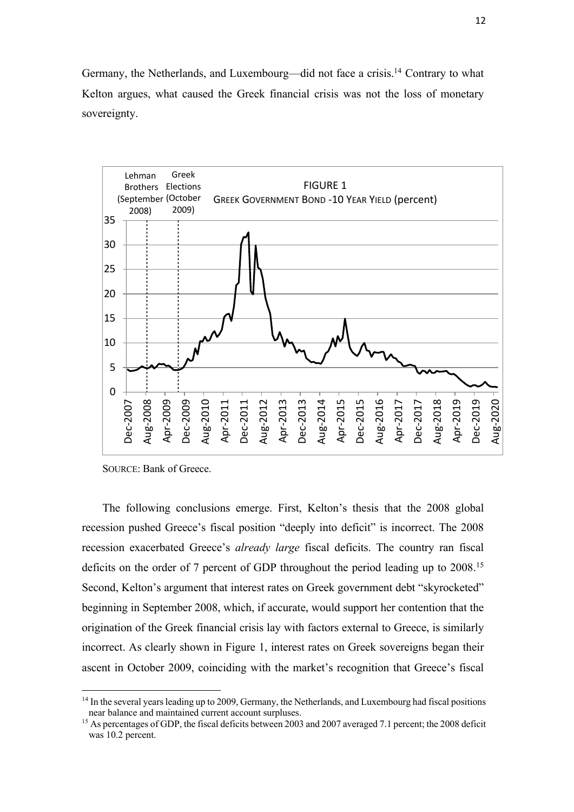Germany, the Netherlands, and Luxembourg—did not face a crisis.<sup>14</sup> Contrary to what Kelton argues, what caused the Greek financial crisis was not the loss of monetary sovereignty.



SOURCE: Bank of Greece.

The following conclusions emerge. First, Kelton's thesis that the 2008 global recession pushed Greece's fiscal position "deeply into deficit" is incorrect. The 2008 recession exacerbated Greece's *already large* fiscal deficits. The country ran fiscal deficits on the order of 7 percent of GDP throughout the period leading up to 2008.<sup>15</sup> Second, Kelton's argument that interest rates on Greek government debt "skyrocketed" beginning in September 2008, which, if accurate, would support her contention that the origination of the Greek financial crisis lay with factors external to Greece, is similarly incorrect. As clearly shown in Figure 1, interest rates on Greek sovereigns began their ascent in October 2009, coinciding with the market's recognition that Greece's fiscal

 $14$  In the several years leading up to 2009, Germany, the Netherlands, and Luxembourg had fiscal positions near balance and maintained current account surpluses.

<sup>&</sup>lt;sup>15</sup> As percentages of GDP, the fiscal deficits between 2003 and 2007 averaged 7.1 percent; the 2008 deficit was 10.2 percent.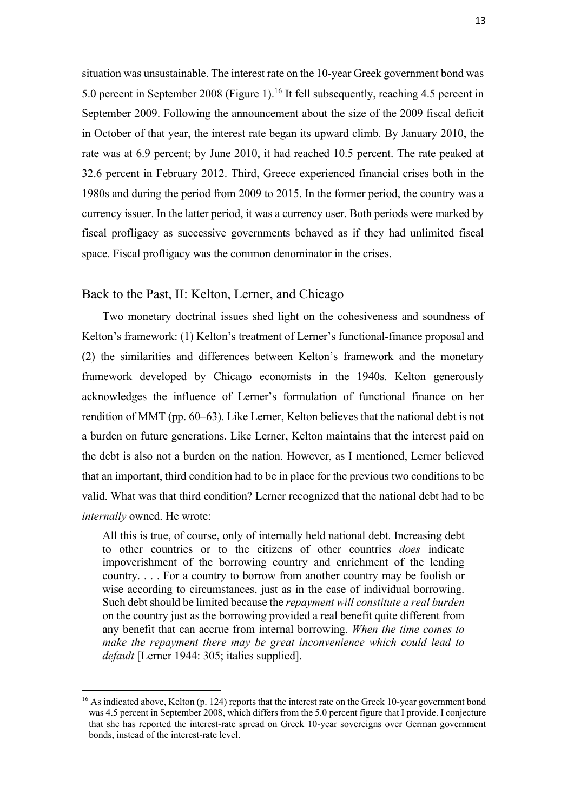situation was unsustainable. The interest rate on the 10-year Greek government bond was 5.0 percent in September 2008 (Figure 1).<sup>16</sup> It fell subsequently, reaching 4.5 percent in September 2009. Following the announcement about the size of the 2009 fiscal deficit in October of that year, the interest rate began its upward climb. By January 2010, the rate was at 6.9 percent; by June 2010, it had reached 10.5 percent. The rate peaked at 32.6 percent in February 2012. Third, Greece experienced financial crises both in the 1980s and during the period from 2009 to 2015. In the former period, the country was a currency issuer. In the latter period, it was a currency user. Both periods were marked by fiscal profligacy as successive governments behaved as if they had unlimited fiscal space. Fiscal profligacy was the common denominator in the crises.

### Back to the Past, II: Kelton, Lerner, and Chicago

Two monetary doctrinal issues shed light on the cohesiveness and soundness of Kelton's framework: (1) Kelton's treatment of Lerner's functional-finance proposal and (2) the similarities and differences between Kelton's framework and the monetary framework developed by Chicago economists in the 1940s. Kelton generously acknowledges the influence of Lerner's formulation of functional finance on her rendition of MMT (pp. 60–63). Like Lerner, Kelton believes that the national debt is not a burden on future generations. Like Lerner, Kelton maintains that the interest paid on the debt is also not a burden on the nation. However, as I mentioned, Lerner believed that an important, third condition had to be in place for the previous two conditions to be valid. What was that third condition? Lerner recognized that the national debt had to be *internally* owned. He wrote:

All this is true, of course, only of internally held national debt. Increasing debt to other countries or to the citizens of other countries *does* indicate impoverishment of the borrowing country and enrichment of the lending country. . . . For a country to borrow from another country may be foolish or wise according to circumstances, just as in the case of individual borrowing. Such debt should be limited because the *repayment will constitute a real burden* on the country just as the borrowing provided a real benefit quite different from any benefit that can accrue from internal borrowing. *When the time comes to make the repayment there may be great inconvenience which could lead to default* [Lerner 1944: 305; italics supplied].

<sup>&</sup>lt;sup>16</sup> As indicated above, Kelton (p. 124) reports that the interest rate on the Greek 10-year government bond was 4.5 percent in September 2008, which differs from the 5.0 percent figure that I provide. I conjecture that she has reported the interest-rate spread on Greek 10-year sovereigns over German government bonds, instead of the interest-rate level.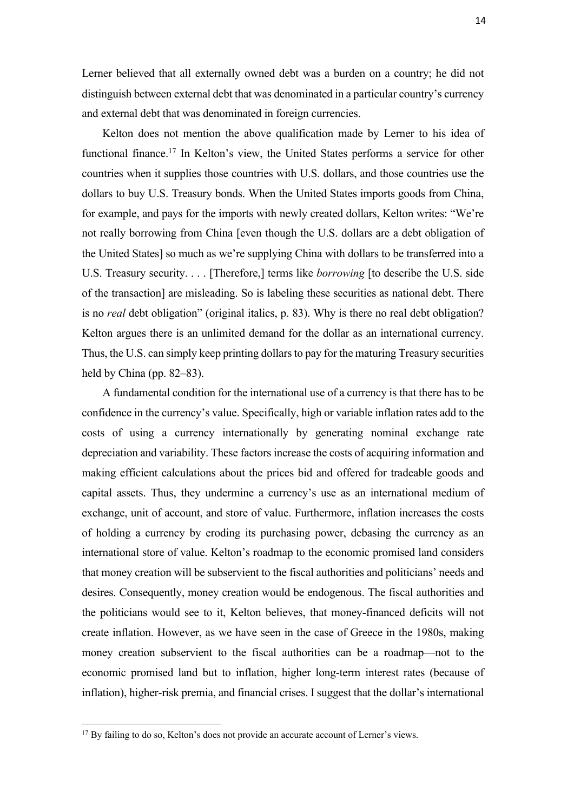Lerner believed that all externally owned debt was a burden on a country; he did not distinguish between external debt that was denominated in a particular country's currency and external debt that was denominated in foreign currencies.

Kelton does not mention the above qualification made by Lerner to his idea of functional finance.17 In Kelton's view, the United States performs a service for other countries when it supplies those countries with U.S. dollars, and those countries use the dollars to buy U.S. Treasury bonds. When the United States imports goods from China, for example, and pays for the imports with newly created dollars, Kelton writes: "We're not really borrowing from China [even though the U.S. dollars are a debt obligation of the United States] so much as we're supplying China with dollars to be transferred into a U.S. Treasury security. . . . [Therefore,] terms like *borrowing* [to describe the U.S. side of the transaction] are misleading. So is labeling these securities as national debt. There is no *real* debt obligation" (original italics, p. 83). Why is there no real debt obligation? Kelton argues there is an unlimited demand for the dollar as an international currency. Thus, the U.S. can simply keep printing dollars to pay for the maturing Treasury securities held by China (pp. 82–83).

A fundamental condition for the international use of a currency is that there has to be confidence in the currency's value. Specifically, high or variable inflation rates add to the costs of using a currency internationally by generating nominal exchange rate depreciation and variability. These factors increase the costs of acquiring information and making efficient calculations about the prices bid and offered for tradeable goods and capital assets. Thus, they undermine a currency's use as an international medium of exchange, unit of account, and store of value. Furthermore, inflation increases the costs of holding a currency by eroding its purchasing power, debasing the currency as an international store of value. Kelton's roadmap to the economic promised land considers that money creation will be subservient to the fiscal authorities and politicians' needs and desires. Consequently, money creation would be endogenous. The fiscal authorities and the politicians would see to it, Kelton believes, that money-financed deficits will not create inflation. However, as we have seen in the case of Greece in the 1980s, making money creation subservient to the fiscal authorities can be a roadmap—not to the economic promised land but to inflation, higher long-term interest rates (because of inflation), higher-risk premia, and financial crises. I suggest that the dollar's international

<sup>&</sup>lt;sup>17</sup> By failing to do so, Kelton's does not provide an accurate account of Lerner's views.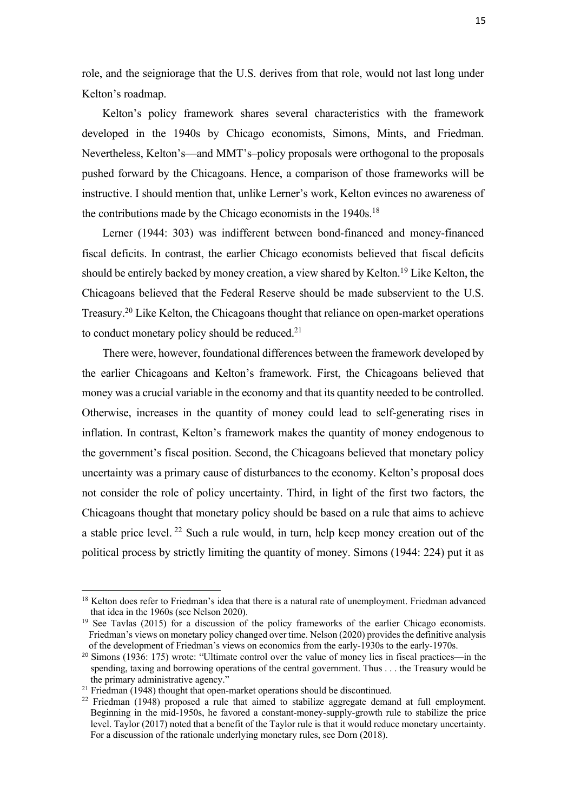role, and the seigniorage that the U.S. derives from that role, would not last long under Kelton's roadmap.

Kelton's policy framework shares several characteristics with the framework developed in the 1940s by Chicago economists, Simons, Mints, and Friedman. Nevertheless, Kelton's—and MMT's–policy proposals were orthogonal to the proposals pushed forward by the Chicagoans. Hence, a comparison of those frameworks will be instructive. I should mention that, unlike Lerner's work, Kelton evinces no awareness of the contributions made by the Chicago economists in the 1940s.<sup>18</sup>

Lerner (1944: 303) was indifferent between bond-financed and money-financed fiscal deficits. In contrast, the earlier Chicago economists believed that fiscal deficits should be entirely backed by money creation, a view shared by Kelton.19 Like Kelton, the Chicagoans believed that the Federal Reserve should be made subservient to the U.S. Treasury.20 Like Kelton, the Chicagoans thought that reliance on open-market operations to conduct monetary policy should be reduced. $2<sup>1</sup>$ 

There were, however, foundational differences between the framework developed by the earlier Chicagoans and Kelton's framework. First, the Chicagoans believed that money was a crucial variable in the economy and that its quantity needed to be controlled. Otherwise, increases in the quantity of money could lead to self-generating rises in inflation. In contrast, Kelton's framework makes the quantity of money endogenous to the government's fiscal position. Second, the Chicagoans believed that monetary policy uncertainty was a primary cause of disturbances to the economy. Kelton's proposal does not consider the role of policy uncertainty. Third, in light of the first two factors, the Chicagoans thought that monetary policy should be based on a rule that aims to achieve a stable price level. <sup>22</sup> Such a rule would, in turn, help keep money creation out of the political process by strictly limiting the quantity of money. Simons (1944: 224) put it as

<sup>&</sup>lt;sup>18</sup> Kelton does refer to Friedman's idea that there is a natural rate of unemployment. Friedman advanced that idea in the 1960s (see Nelson 2020).<br><sup>19</sup> See Tavlas (2015) for a discussion of the policy frameworks of the earlier Chicago economists.

Friedman's views on monetary policy changed over time. Nelson (2020) provides the definitive analysis of the development of Friedman's views on economics from the early-1930s to the early-1970s.

<sup>&</sup>lt;sup>20</sup> Simons (1936: 175) wrote: "Ultimate control over the value of money lies in fiscal practices—in the spending, taxing and borrowing operations of the central government. Thus . . . the Treasury would be the primary administrative agency."

<sup>&</sup>lt;sup>21</sup> Friedman  $(1948)$  thought that open-market operations should be discontinued.

<sup>&</sup>lt;sup>22</sup> Friedman (1948) proposed a rule that aimed to stabilize aggregate demand at full employment. Beginning in the mid-1950s, he favored a constant-money-supply-growth rule to stabilize the price level. Taylor (2017) noted that a benefit of the Taylor rule is that it would reduce monetary uncertainty. For a discussion of the rationale underlying monetary rules, see Dorn (2018).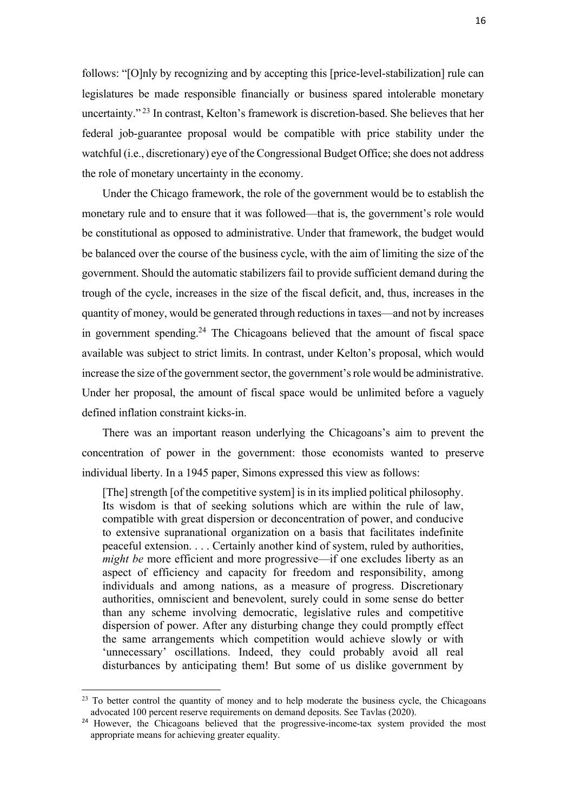follows: "[O]nly by recognizing and by accepting this [price-level-stabilization] rule can legislatures be made responsible financially or business spared intolerable monetary uncertainty." <sup>23</sup> In contrast, Kelton's framework is discretion-based. She believes that her federal job-guarantee proposal would be compatible with price stability under the watchful (i.e., discretionary) eye of the Congressional Budget Office; she does not address the role of monetary uncertainty in the economy.

Under the Chicago framework, the role of the government would be to establish the monetary rule and to ensure that it was followed—that is, the government's role would be constitutional as opposed to administrative. Under that framework, the budget would be balanced over the course of the business cycle, with the aim of limiting the size of the government. Should the automatic stabilizers fail to provide sufficient demand during the trough of the cycle, increases in the size of the fiscal deficit, and, thus, increases in the quantity of money, would be generated through reductions in taxes—and not by increases in government spending.<sup>24</sup> The Chicagoans believed that the amount of fiscal space available was subject to strict limits. In contrast, under Kelton's proposal, which would increase the size of the government sector, the government's role would be administrative. Under her proposal, the amount of fiscal space would be unlimited before a vaguely defined inflation constraint kicks-in.

There was an important reason underlying the Chicagoans's aim to prevent the concentration of power in the government: those economists wanted to preserve individual liberty. In a 1945 paper, Simons expressed this view as follows:

[The] strength [of the competitive system] is in its implied political philosophy. Its wisdom is that of seeking solutions which are within the rule of law, compatible with great dispersion or deconcentration of power, and conducive to extensive supranational organization on a basis that facilitates indefinite peaceful extension. . . . Certainly another kind of system, ruled by authorities, *might be* more efficient and more progressive—if one excludes liberty as an aspect of efficiency and capacity for freedom and responsibility, among individuals and among nations, as a measure of progress. Discretionary authorities, omniscient and benevolent, surely could in some sense do better than any scheme involving democratic, legislative rules and competitive dispersion of power. After any disturbing change they could promptly effect the same arrangements which competition would achieve slowly or with 'unnecessary' oscillations. Indeed, they could probably avoid all real disturbances by anticipating them! But some of us dislike government by

<sup>&</sup>lt;sup>23</sup> To better control the quantity of money and to help moderate the business cycle, the Chicagoans advocated 100 percent reserve requirements on demand deposits. See Tavlas (2020).

<sup>&</sup>lt;sup>24</sup> However, the Chicagoans believed that the progressive-income-tax system provided the most appropriate means for achieving greater equality.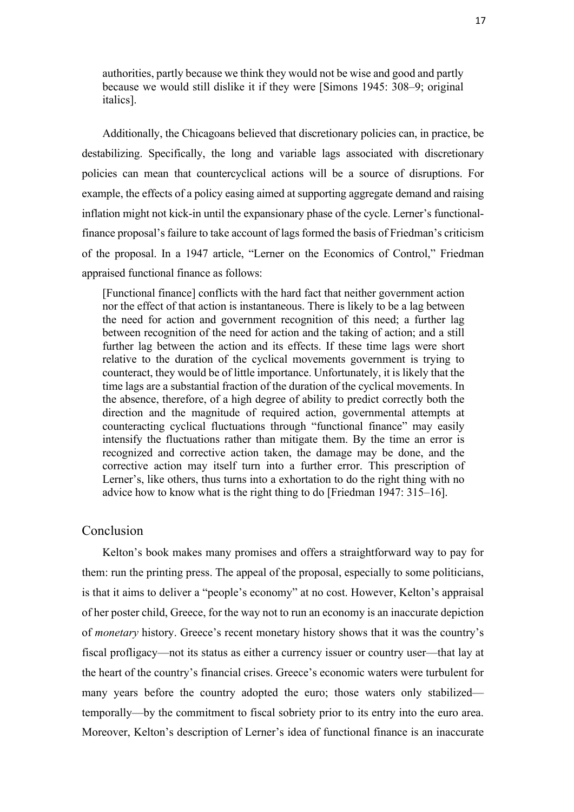authorities, partly because we think they would not be wise and good and partly because we would still dislike it if they were [Simons 1945: 308–9; original italics].

Additionally, the Chicagoans believed that discretionary policies can, in practice, be destabilizing. Specifically, the long and variable lags associated with discretionary policies can mean that countercyclical actions will be a source of disruptions. For example, the effects of a policy easing aimed at supporting aggregate demand and raising inflation might not kick-in until the expansionary phase of the cycle. Lerner's functionalfinance proposal's failure to take account of lags formed the basis of Friedman's criticism of the proposal. In a 1947 article, "Lerner on the Economics of Control," Friedman appraised functional finance as follows:

[Functional finance] conflicts with the hard fact that neither government action nor the effect of that action is instantaneous. There is likely to be a lag between the need for action and government recognition of this need; a further lag between recognition of the need for action and the taking of action; and a still further lag between the action and its effects. If these time lags were short relative to the duration of the cyclical movements government is trying to counteract, they would be of little importance. Unfortunately, it is likely that the time lags are a substantial fraction of the duration of the cyclical movements. In the absence, therefore, of a high degree of ability to predict correctly both the direction and the magnitude of required action, governmental attempts at counteracting cyclical fluctuations through "functional finance" may easily intensify the fluctuations rather than mitigate them. By the time an error is recognized and corrective action taken, the damage may be done, and the corrective action may itself turn into a further error. This prescription of Lerner's, like others, thus turns into a exhortation to do the right thing with no advice how to know what is the right thing to do [Friedman 1947: 315–16].

### Conclusion

Kelton's book makes many promises and offers a straightforward way to pay for them: run the printing press. The appeal of the proposal, especially to some politicians, is that it aims to deliver a "people's economy" at no cost. However, Kelton's appraisal of her poster child, Greece, for the way not to run an economy is an inaccurate depiction of *monetary* history. Greece's recent monetary history shows that it was the country's fiscal profligacy—not its status as either a currency issuer or country user—that lay at the heart of the country's financial crises. Greece's economic waters were turbulent for many years before the country adopted the euro; those waters only stabilized temporally—by the commitment to fiscal sobriety prior to its entry into the euro area. Moreover, Kelton's description of Lerner's idea of functional finance is an inaccurate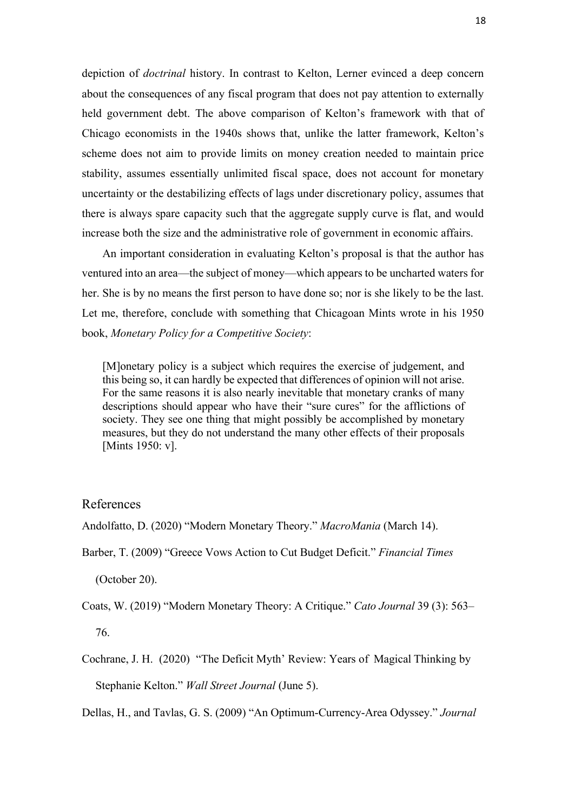depiction of *doctrinal* history. In contrast to Kelton, Lerner evinced a deep concern about the consequences of any fiscal program that does not pay attention to externally held government debt. The above comparison of Kelton's framework with that of Chicago economists in the 1940s shows that, unlike the latter framework, Kelton's scheme does not aim to provide limits on money creation needed to maintain price stability, assumes essentially unlimited fiscal space, does not account for monetary uncertainty or the destabilizing effects of lags under discretionary policy, assumes that there is always spare capacity such that the aggregate supply curve is flat, and would increase both the size and the administrative role of government in economic affairs.

An important consideration in evaluating Kelton's proposal is that the author has ventured into an area—the subject of money—which appears to be uncharted waters for her. She is by no means the first person to have done so; nor is she likely to be the last. Let me, therefore, conclude with something that Chicagoan Mints wrote in his 1950 book, *Monetary Policy for a Competitive Society*:

[M]onetary policy is a subject which requires the exercise of judgement, and this being so, it can hardly be expected that differences of opinion will not arise. For the same reasons it is also nearly inevitable that monetary cranks of many descriptions should appear who have their "sure cures" for the afflictions of society. They see one thing that might possibly be accomplished by monetary measures, but they do not understand the many other effects of their proposals [Mints 1950: v].

## References

Andolfatto, D. (2020) "Modern Monetary Theory." *MacroMania* (March 14).

Barber, T. (2009) "Greece Vows Action to Cut Budget Deficit." *Financial Times* 

(October 20).

Coats, W. (2019) "Modern Monetary Theory: A Critique." *Cato Journal* 39 (3): 563–

76.

Cochrane, J. H. (2020) "The Deficit Myth' Review: Years of Magical Thinking by Stephanie Kelton." *Wall Street Journal* (June 5).

Dellas, H., and Tavlas, G. S. (2009) "An Optimum-Currency-Area Odyssey." *Journal*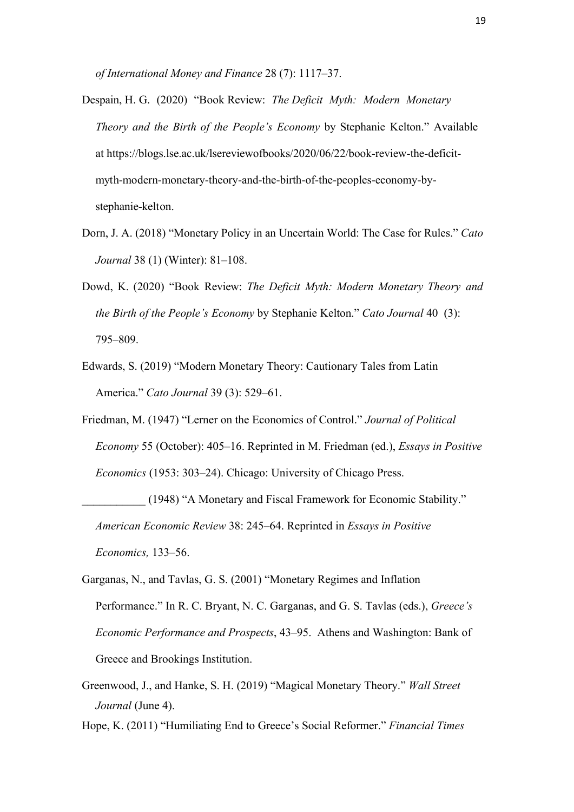*of International Money and Finance* 28 (7): 1117–37.

- Despain, H. G. (2020) "Book Review: *The Deficit Myth: Modern Monetary Theory and the Birth of the People's Economy* by Stephanie Kelton." Available at https://blogs.lse.ac.uk/lsereviewofbooks/2020/06/22/book-review-the-deficitmyth-modern-monetary-theory-and-the-birth-of-the-peoples-economy-bystephanie-kelton.
- Dorn, J. A. (2018) "Monetary Policy in an Uncertain World: The Case for Rules." *Cato Journal* 38 (1) (Winter): 81–108.
- Dowd, K. (2020) "Book Review: *The Deficit Myth: Modern Monetary Theory and the Birth of the People's Economy* by Stephanie Kelton." *Cato Journal* 40 (3): 795–809.
- Edwards, S. (2019) "Modern Monetary Theory: Cautionary Tales from Latin America." *Cato Journal* 39 (3): 529–61.
- Friedman, M. (1947) "Lerner on the Economics of Control." *Journal of Political Economy* 55 (October): 405–16. Reprinted in M. Friedman (ed.), *Essays in Positive Economics* (1953: 303–24). Chicago: University of Chicago Press.

```
(1948) "A Monetary and Fiscal Framework for Economic Stability."
American Economic Review 38: 245–64. Reprinted in Essays in Positive 
Economics, 133–56.
```
- Garganas, N., and Tavlas, G. S. (2001) "Monetary Regimes and Inflation Performance." In R. C. Bryant, N. C. Garganas, and G. S. Tavlas (eds.), *Greece's Economic Performance and Prospects*, 43–95. Athens and Washington: Bank of Greece and Brookings Institution.
- Greenwood, J., and Hanke, S. H. (2019) "Magical Monetary Theory." *Wall Street Journal* (June 4).

Hope, K. (2011) "Humiliating End to Greece's Social Reformer." *Financial Times*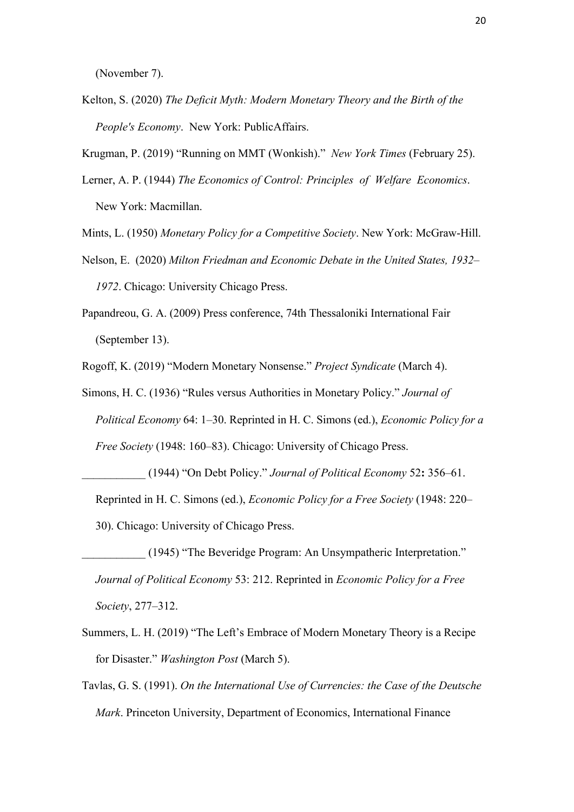(November 7).

Kelton, S. (2020) *The Deficit Myth: Modern Monetary Theory and the Birth of the People's Economy*. New York: PublicAffairs.

Krugman, P. (2019) "Running on MMT (Wonkish)." *New York Times* (February 25).

Lerner, A. P. (1944) *The Economics of Control: Principles of Welfare Economics*. New York: Macmillan.

Mints, L. (1950) *Monetary Policy for a Competitive Society*. New York: McGraw-Hill.

- Nelson, E. (2020) *Milton Friedman and Economic Debate in the United States, 1932– 1972*. Chicago: University Chicago Press.
- Papandreou, G. A. (2009) Press conference, 74th Thessaloniki International Fair (September 13).

Rogoff, K. (2019) "Modern Monetary Nonsense." *Project Syndicate* (March 4).

Simons, H. C. (1936) "Rules versus Authorities in Monetary Policy." *Journal of Political Economy* 64: 1–30. Reprinted in H. C. Simons (ed.), *Economic Policy for a Free Society* (1948: 160–83). Chicago: University of Chicago Press.

- \_\_\_\_\_\_\_\_\_\_\_ (1944) "On Debt Policy." *Journal of Political Economy* 52**:** 356–61. Reprinted in H. C. Simons (ed.), *Economic Policy for a Free Society* (1948: 220– 30). Chicago: University of Chicago Press.
- \_\_\_\_\_\_\_\_\_\_\_ (1945) "The Beveridge Program: An Unsympatheric Interpretation." *Journal of Political Economy* 53: 212. Reprinted in *Economic Policy for a Free Society*, 277–312.
- Summers, L. H. (2019) "The Left's Embrace of Modern Monetary Theory is a Recipe for Disaster." *Washington Post* (March 5).
- Tavlas, G. S. (1991). *On the International Use of Currencies: the Case of the Deutsche Mark*. Princeton University, Department of Economics, International Finance